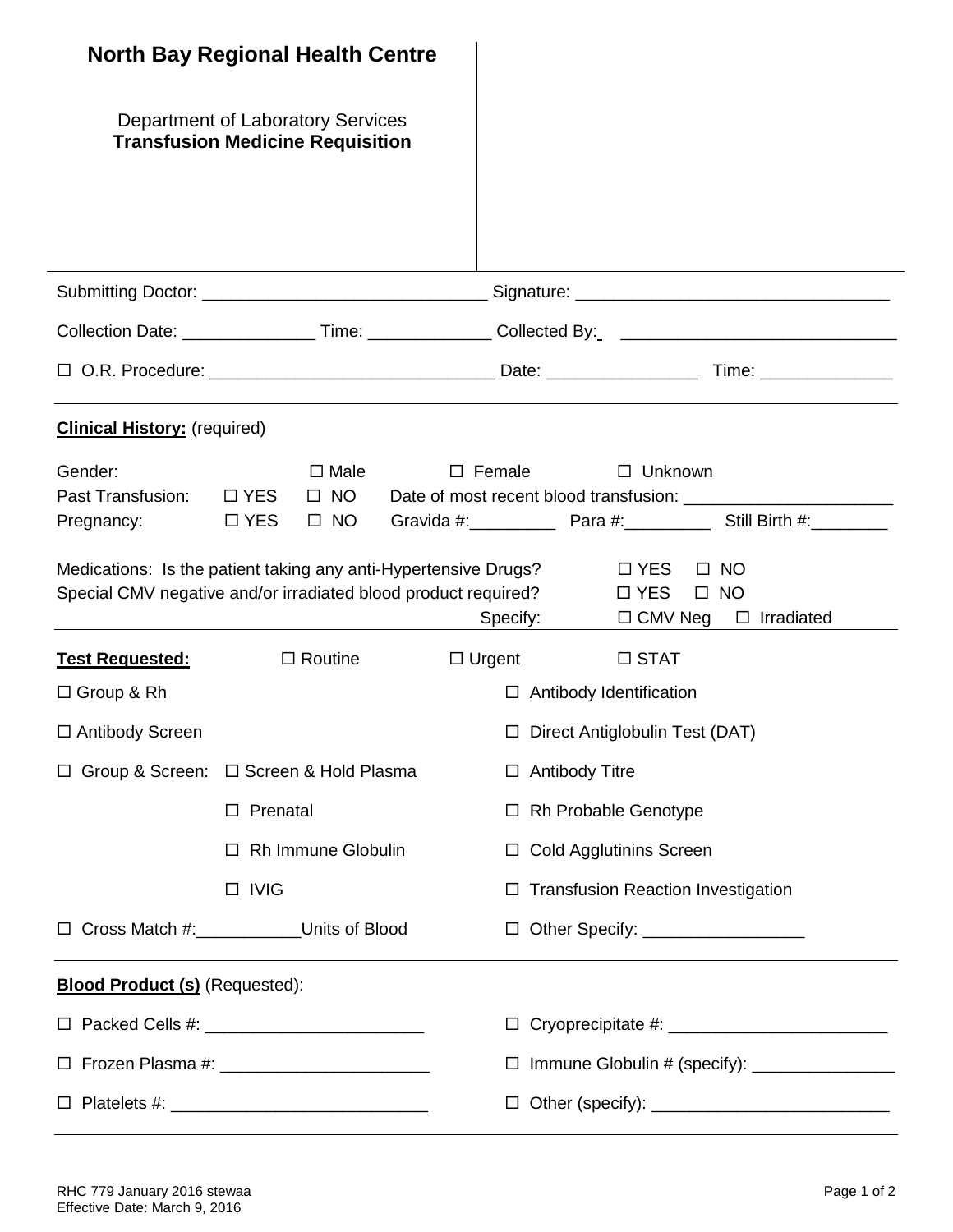|                                                  | <b>North Bay Regional Health Centre</b>                                                                                                                                                                  |  |                                                 |                                           |                                            |                                                                                                                |  |
|--------------------------------------------------|----------------------------------------------------------------------------------------------------------------------------------------------------------------------------------------------------------|--|-------------------------------------------------|-------------------------------------------|--------------------------------------------|----------------------------------------------------------------------------------------------------------------|--|
|                                                  | Department of Laboratory Services<br><b>Transfusion Medicine Requisition</b>                                                                                                                             |  |                                                 |                                           |                                            |                                                                                                                |  |
|                                                  |                                                                                                                                                                                                          |  |                                                 |                                           |                                            |                                                                                                                |  |
|                                                  |                                                                                                                                                                                                          |  |                                                 |                                           |                                            | Collection Date: ______________________Time: _________________Collected By:_ _________________________________ |  |
|                                                  |                                                                                                                                                                                                          |  |                                                 |                                           |                                            |                                                                                                                |  |
| <b>Clinical History:</b> (required)              |                                                                                                                                                                                                          |  |                                                 |                                           |                                            |                                                                                                                |  |
| Gender:<br>Past Transfusion: □ YES<br>Pregnancy: | $\Box$ Male<br>$\Box$ NO<br><b>Example 19 Only DES</b><br>$\Box$ NO<br>Medications: Is the patient taking any anti-Hypertensive Drugs?<br>Special CMV negative and/or irradiated blood product required? |  | $\Box$ Female<br>Specify:                       |                                           | $\Box$ Unknown<br>$\Box$ YES<br>$\Box$ YES | $\Box$ NO<br>$\Box$ NO<br>$\Box$ CMV Neg $\Box$ Irradiated                                                     |  |
| <b>Test Requested:</b>                           | $\Box$ Routine                                                                                                                                                                                           |  |                                                 | $\Box$ Urgent                             | $\Box$ STAT                                |                                                                                                                |  |
| $\Box$ Group & Rh                                |                                                                                                                                                                                                          |  |                                                 | $\Box$ Antibody Identification            |                                            |                                                                                                                |  |
| □ Antibody Screen                                |                                                                                                                                                                                                          |  |                                                 | □ Direct Antiglobulin Test (DAT)          |                                            |                                                                                                                |  |
|                                                  | □ Group & Screen: □ Screen & Hold Plasma                                                                                                                                                                 |  |                                                 | $\Box$ Antibody Titre                     |                                            |                                                                                                                |  |
|                                                  | Prenatal<br>$\Box$                                                                                                                                                                                       |  | $\Box$                                          | Rh Probable Genotype                      |                                            |                                                                                                                |  |
|                                                  | <b>Rh Immune Globulin</b><br>$\Box$                                                                                                                                                                      |  |                                                 | □ Cold Agglutinins Screen                 |                                            |                                                                                                                |  |
|                                                  | $\Box$ IVIG                                                                                                                                                                                              |  |                                                 | $\Box$ Transfusion Reaction Investigation |                                            |                                                                                                                |  |
|                                                  | □ Cross Match #: Units of Blood                                                                                                                                                                          |  | □ Other Specify: <u>_________________</u>       |                                           |                                            |                                                                                                                |  |
| <b>Blood Product (s)</b> (Requested):            |                                                                                                                                                                                                          |  |                                                 |                                           |                                            |                                                                                                                |  |
|                                                  |                                                                                                                                                                                                          |  |                                                 |                                           |                                            |                                                                                                                |  |
|                                                  |                                                                                                                                                                                                          |  | □ Immune Globulin # (specify): ________________ |                                           |                                            |                                                                                                                |  |
|                                                  |                                                                                                                                                                                                          |  |                                                 |                                           |                                            |                                                                                                                |  |